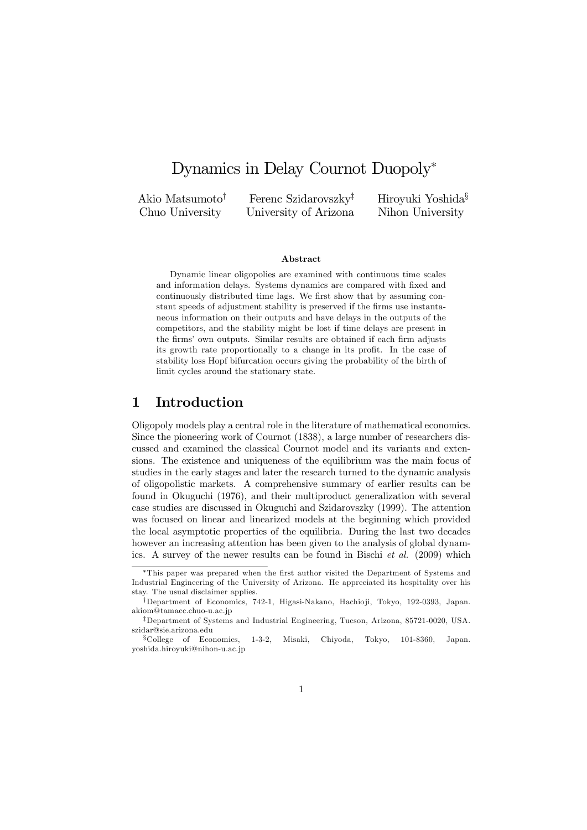# Dynamics in Delay Cournot Duopoly<sup>∗</sup>

Akio Matsumoto† Chuo University

Ferenc Szidarovszky‡ University of Arizona Hiroyuki Yoshida§ Nihon University

#### Abstract

Dynamic linear oligopolies are examined with continuous time scales and information delays. Systems dynamics are compared with fixed and continuously distributed time lags. We first show that by assuming constant speeds of adjustment stability is preserved if the firms use instantaneous information on their outputs and have delays in the outputs of the competitors, and the stability might be lost if time delays are present in the firms' own outputs. Similar results are obtained if each firm adjusts its growth rate proportionally to a change in its profit. In the case of stability loss Hopf bifurcation occurs giving the probability of the birth of limit cycles around the stationary state.

## 1 Introduction

Oligopoly models play a central role in the literature of mathematical economics. Since the pioneering work of Cournot (1838), a large number of researchers discussed and examined the classical Cournot model and its variants and extensions. The existence and uniqueness of the equilibrium was the main focus of studies in the early stages and later the research turned to the dynamic analysis of oligopolistic markets. A comprehensive summary of earlier results can be found in Okuguchi (1976), and their multiproduct generalization with several case studies are discussed in Okuguchi and Szidarovszky (1999). The attention was focused on linear and linearized models at the beginning which provided the local asymptotic properties of the equilibria. During the last two decades however an increasing attention has been given to the analysis of global dynamics. A survey of the newer results can be found in Bischi et al. (2009) which

<sup>∗</sup>This paper was prepared when the first author visited the Department of Systems and Industrial Engineering of the University of Arizona. He appreciated its hospitality over his stay. The usual disclaimer applies.

<sup>†</sup>Department of Economics, 742-1, Higasi-Nakano, Hachio ji, Tokyo, 192-0393, Japan. akiom@tamacc.chuo-u.ac.jp

<sup>‡</sup>Department of Systems and Industrial Engineering, Tucson, Arizona, 85721-0020, USA. szidar@sie.arizona.edu

<sup>§</sup>College of Economics, 1-3-2, Misaki, Chiyoda, Tokyo, 101-8360, Japan. yoshida.hiroyuki@nihon-u.ac.jp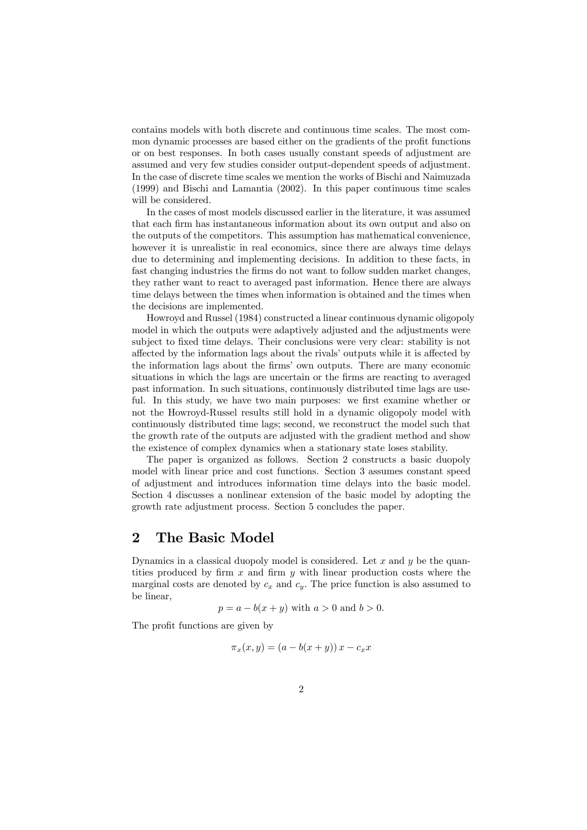contains models with both discrete and continuous time scales. The most common dynamic processes are based either on the gradients of the profit functions or on best responses. In both cases usually constant speeds of adjustment are assumed and very few studies consider output-dependent speeds of adjustment. In the case of discrete time scales we mention the works of Bischi and Naimuzada (1999) and Bischi and Lamantia (2002). In this paper continuous time scales will be considered.

In the cases of most models discussed earlier in the literature, it was assumed that each firm has instantaneous information about its own output and also on the outputs of the competitors. This assumption has mathematical convenience, however it is unrealistic in real economics, since there are always time delays due to determining and implementing decisions. In addition to these facts, in fast changing industries the firms do not want to follow sudden market changes, they rather want to react to averaged past information. Hence there are always time delays between the times when information is obtained and the times when the decisions are implemented.

Howroyd and Russel (1984) constructed a linear continuous dynamic oligopoly model in which the outputs were adaptively adjusted and the adjustments were subject to fixed time delays. Their conclusions were very clear: stability is not affected by the information lags about the rivals' outputs while it is affected by the information lags about the firms' own outputs. There are many economic situations in which the lags are uncertain or the firms are reacting to averaged past information. In such situations, continuously distributed time lags are useful. In this study, we have two main purposes: we first examine whether or not the Howroyd-Russel results still hold in a dynamic oligopoly model with continuously distributed time lags; second, we reconstruct the model such that the growth rate of the outputs are adjusted with the gradient method and show the existence of complex dynamics when a stationary state loses stability.

The paper is organized as follows. Section 2 constructs a basic duopoly model with linear price and cost functions. Section 3 assumes constant speed of adjustment and introduces information time delays into the basic model. Section 4 discusses a nonlinear extension of the basic model by adopting the growth rate adjustment process. Section 5 concludes the paper.

## 2 The Basic Model

Dynamics in a classical duopoly model is considered. Let  $x$  and  $y$  be the quantities produced by firm  $x$  and firm  $y$  with linear production costs where the marginal costs are denoted by  $c_x$  and  $c_y$ . The price function is also assumed to be linear,

$$
p = a - b(x + y)
$$
 with  $a > 0$  and  $b > 0$ .

The profit functions are given by

$$
\pi_x(x, y) = (a - b(x + y))x - c_x x
$$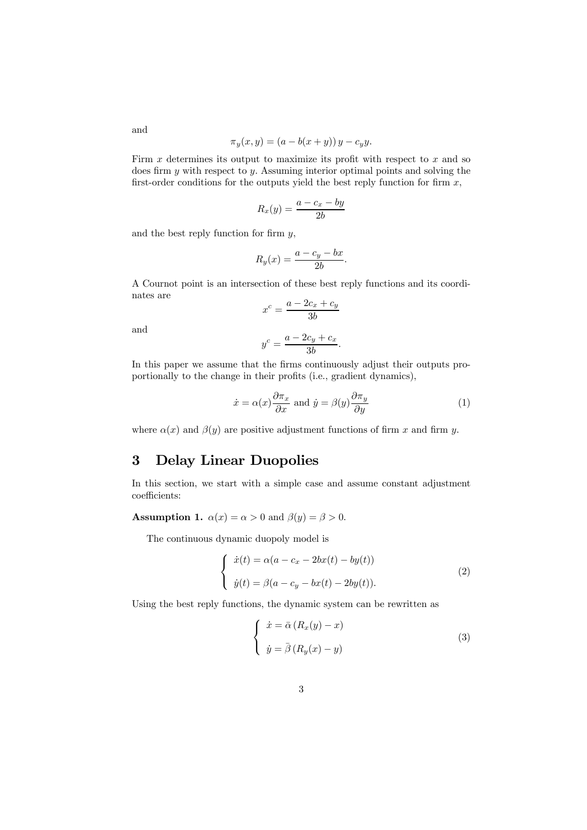$$
\pi_y(x, y) = (a - b(x + y)) y - c_y y.
$$

Firm  $x$  determines its output to maximize its profit with respect to  $x$  and so does firm y with respect to y. Assuming interior optimal points and solving the first-order conditions for the outputs yield the best reply function for firm  $x$ ,

$$
R_x(y) = \frac{a - c_x - by}{2b}
$$

and the best reply function for firm  $y$ ,

$$
R_y(x) = \frac{a - c_y - bx}{2b}.
$$

A Cournot point is an intersection of these best reply functions and its coordinates are

$$
x^c = \frac{a - 2c_x + c_y}{3b}
$$

and

$$
y^c = \frac{a - 2c_y + c_x}{3b}.
$$

In this paper we assume that the firms continuously adjust their outputs proportionally to the change in their profits (i.e., gradient dynamics),

$$
\dot{x} = \alpha(x) \frac{\partial \pi_x}{\partial x} \text{ and } \dot{y} = \beta(y) \frac{\partial \pi_y}{\partial y} \tag{1}
$$

where  $\alpha(x)$  and  $\beta(y)$  are positive adjustment functions of firm x and firm y.

## 3 Delay Linear Duopolies

In this section, we start with a simple case and assume constant adjustment coefficients:

**Assumption 1.**  $\alpha(x) = \alpha > 0$  and  $\beta(y) = \beta > 0$ .

The continuous dynamic duopoly model is

$$
\begin{cases}\n\dot{x}(t) = \alpha(a - c_x - 2bx(t) - by(t)) \\
\dot{y}(t) = \beta(a - c_y - bx(t) - 2by(t)).\n\end{cases}
$$
\n(2)

Using the best reply functions, the dynamic system can be rewritten as

$$
\begin{cases}\n\dot{x} = \bar{\alpha} (R_x(y) - x) \\
\dot{y} = \bar{\beta} (R_y(x) - y)\n\end{cases} \tag{3}
$$

and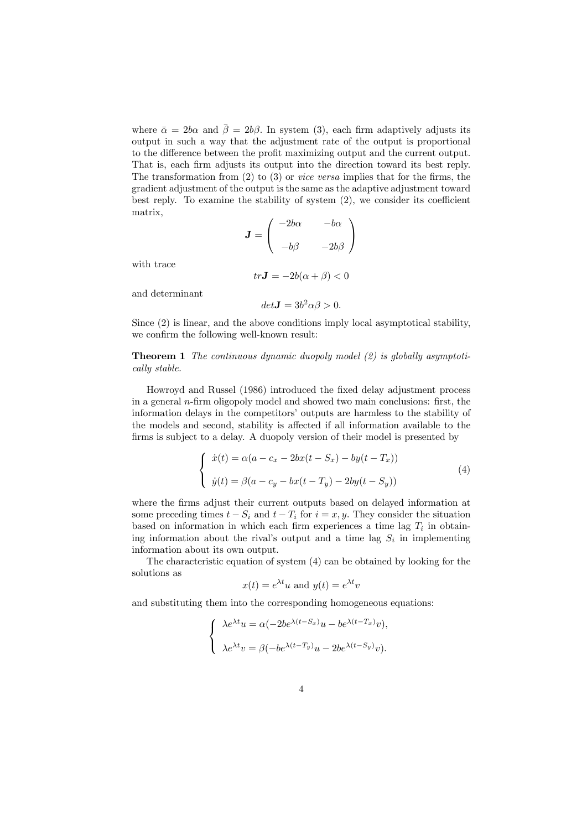where  $\bar{\alpha} = 2b\alpha$  and  $\bar{\beta} = 2b\beta$ . In system (3), each firm adaptively adjusts its output in such a way that the adjustment rate of the output is proportional to the difference between the profit maximizing output and the current output. That is, each firm adjusts its output into the direction toward its best reply. The transformation from  $(2)$  to  $(3)$  or *vice versa* implies that for the firms, the gradient adjustment of the output is the same as the adaptive adjustment toward best reply. To examine the stability of system (2), we consider its coefficient matrix,

$$
J = \begin{pmatrix} -2b\alpha & -b\alpha \\ -b\beta & -2b\beta \end{pmatrix}
$$

with trace

and determinant

 $det J = 3b^2 \alpha \beta > 0.$ 

 $tr\mathbf{J} = -2b(\alpha + \beta) < 0$ 

Since (2) is linear, and the above conditions imply local asymptotical stability, we confirm the following well-known result:

**Theorem 1** The continuous dynamic duopoly model  $(2)$  is globally asymptotically stable.

Howroyd and Russel (1986) introduced the fixed delay adjustment process in a general n-firm oligopoly model and showed two main conclusions: first, the information delays in the competitors' outputs are harmless to the stability of the models and second, stability is affected if all information available to the firms is subject to a delay. A duopoly version of their model is presented by

$$
\begin{cases}\n\dot{x}(t) = \alpha(a - c_x - 2bx(t - S_x) - by(t - T_x)) \\
\dot{y}(t) = \beta(a - c_y - bx(t - T_y) - 2by(t - S_y))\n\end{cases}
$$
\n(4)

where the firms adjust their current outputs based on delayed information at some preceding times  $t - S_i$  and  $t - T_i$  for  $i = x, y$ . They consider the situation based on information in which each firm experiences a time lag  $T_i$  in obtaining information about the rival's output and a time lag  $S_i$  in implementing information about its own output.

The characteristic equation of system (4) can be obtained by looking for the solutions as

$$
x(t) = e^{\lambda t}u
$$
 and  $y(t) = e^{\lambda t}v$ 

and substituting them into the corresponding homogeneous equations:

$$
\begin{cases} \lambda e^{\lambda t}u = \alpha (-2be^{\lambda (t-S_x)}u - be^{\lambda (t-T_x)}v), \\ \lambda e^{\lambda t}v = \beta (-be^{\lambda (t-T_y)}u - 2be^{\lambda (t-S_y)}v). \end{cases}
$$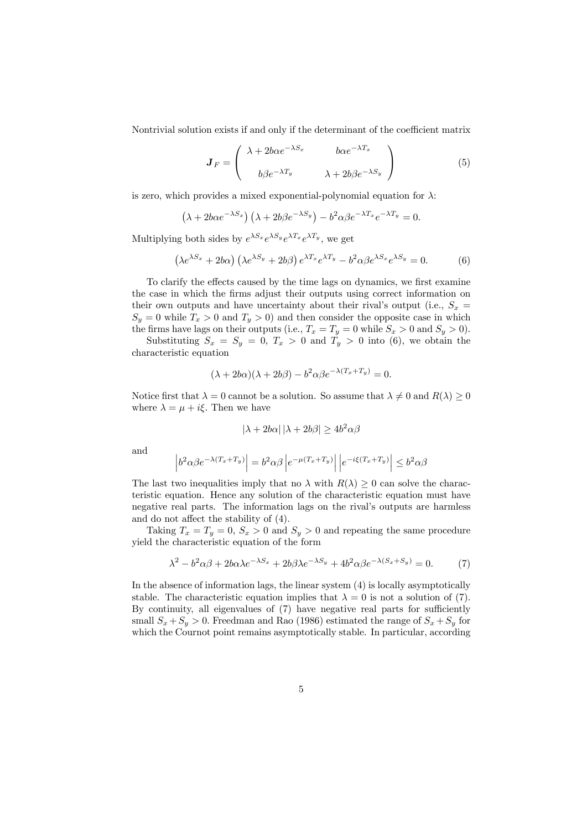Nontrivial solution exists if and only if the determinant of the coefficient matrix

$$
\boldsymbol{J}_F = \begin{pmatrix} \lambda + 2b\alpha e^{-\lambda S_x} & b\alpha e^{-\lambda T_x} \\ b\beta e^{-\lambda T_y} & \lambda + 2b\beta e^{-\lambda S_y} \end{pmatrix}
$$
(5)

is zero, which provides a mixed exponential-polynomial equation for  $\lambda$ :

$$
(\lambda + 2b\alpha e^{-\lambda S_x}) (\lambda + 2b\beta e^{-\lambda S_y}) - b^2 \alpha \beta e^{-\lambda T_x} e^{-\lambda T_y} = 0.
$$

Multiplying both sides by  $e^{\lambda S_x}e^{\lambda S_y}e^{\lambda T_x}e^{\lambda T_y}$ , we get

$$
\left(\lambda e^{\lambda S_x} + 2b\alpha\right)\left(\lambda e^{\lambda S_y} + 2b\beta\right)e^{\lambda T_x}e^{\lambda T_y} - b^2\alpha\beta e^{\lambda S_x}e^{\lambda S_y} = 0.
$$
 (6)

To clarify the effects caused by the time lags on dynamics, we first examine the case in which the firms adjust their outputs using correct information on their own outputs and have uncertainty about their rival's output (i.e.,  $S_x$  =  $S_y = 0$  while  $T_x > 0$  and  $T_y > 0$ ) and then consider the opposite case in which the firms have lags on their outputs (i.e.,  $T_x = T_y = 0$  while  $S_x > 0$  and  $S_y > 0$ ).

Substituting  $S_x = S_y = 0, T_x > 0$  and  $T_y > 0$  into (6), we obtain the characteristic equation

$$
(\lambda + 2b\alpha)(\lambda + 2b\beta) - b^2\alpha\beta e^{-\lambda(T_x + T_y)} = 0.
$$

Notice first that  $\lambda = 0$  cannot be a solution. So assume that  $\lambda \neq 0$  and  $R(\lambda) \geq 0$ where  $\lambda = \mu + i\xi$ . Then we have

$$
|\lambda + 2b\alpha| |\lambda + 2b\beta| \ge 4b^2\alpha\beta
$$

and

$$
\left|b^2\alpha\beta e^{-\lambda(T_x+T_y)}\right| = b^2\alpha\beta \left|e^{-\mu(T_x+T_y)}\right| \left|e^{-i\xi(T_x+T_y)}\right| \le b^2\alpha\beta
$$

The last two inequalities imply that no  $\lambda$  with  $R(\lambda) \geq 0$  can solve the characteristic equation. Hence any solution of the characteristic equation must have negative real parts. The information lags on the rival's outputs are harmless and do not affect the stability of (4).

Taking  $T_x = T_y = 0$ ,  $S_x > 0$  and  $S_y > 0$  and repeating the same procedure yield the characteristic equation of the form

$$
\lambda^2 - b^2 \alpha \beta + 2b \alpha \lambda e^{-\lambda S_x} + 2b \beta \lambda e^{-\lambda S_y} + 4b^2 \alpha \beta e^{-\lambda (S_x + S_y)} = 0.
$$
 (7)

In the absence of information lags, the linear system (4) is locally asymptotically stable. The characteristic equation implies that  $\lambda = 0$  is not a solution of (7). By continuity, all eigenvalues of (7) have negative real parts for sufficiently small  $S_x + S_y > 0$ . Freedman and Rao (1986) estimated the range of  $S_x + S_y$  for which the Cournot point remains asymptotically stable. In particular, according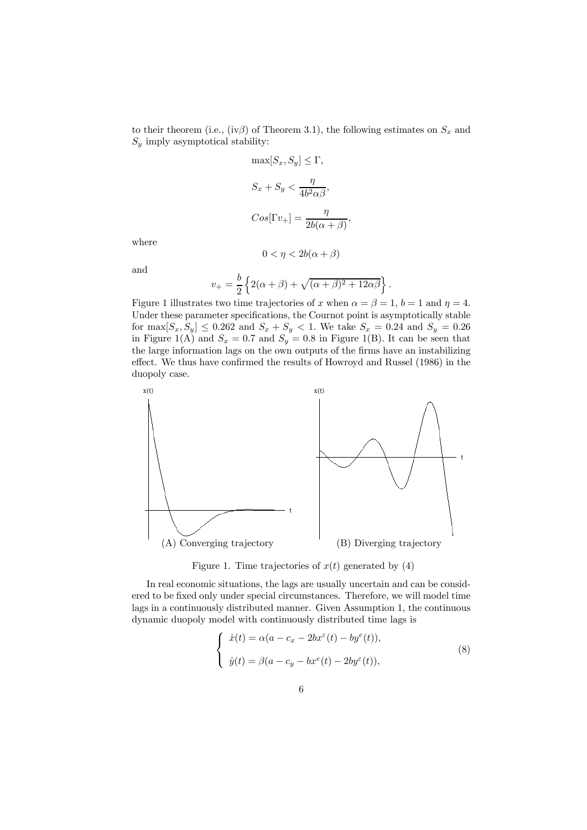to their theorem (i.e., (iv $\beta$ ) of Theorem 3.1), the following estimates on  $S_x$  and  $S_y$  imply asymptotical stability:

$$
\max[S_x, S_y] \le \Gamma,
$$
  

$$
S_x + S_y < \frac{\eta}{4b^2\alpha\beta},
$$
  

$$
Cos[\Gamma v_+] = \frac{\eta}{2b(\alpha + \beta)},
$$

where

$$
0 < \eta < 2b(\alpha + \beta)
$$
\n
$$
v_{+} = \frac{b}{2} \left\{ 2(\alpha + \beta) + \sqrt{(\alpha + \beta)^2 + 12\alpha\beta} \right\}.
$$

and

Figure 1 illustrates two time trajectories of x when 
$$
\alpha = \beta = 1
$$
,  $b = 1$  and  $\eta = 4$ .  
Under these parameter specifications, the Cournot point is asymptotically stable  
for  $\max[S_x, S_y] \leq 0.262$  and  $S_x + S_y < 1$ . We take  $S_x = 0.24$  and  $S_y = 0.26$   
in Figure 1(A) and  $S_x = 0.7$  and  $S_y = 0.8$  in Figure 1(B). It can be seen that  
the large information lags on the own outputs of the firms have an instabilitying  
effect. We thus have confirmed the results of Howard and Russell (1986) in the  
duopoly case.



Figure 1. Time trajectories of  $x(t)$  generated by (4)

In real economic situations, the lags are usually uncertain and can be considered to be fixed only under special circumstances. Therefore, we will model time lags in a continuously distributed manner. Given Assumption 1, the continuous dynamic duopoly model with continuously distributed time lags is

$$
\begin{cases}\n\dot{x}(t) = \alpha(a - c_x - 2bx^{\varepsilon}(t) - by^{\varepsilon}(t)), \\
\dot{y}(t) = \beta(a - c_y - bx^{\varepsilon}(t) - 2by^{\varepsilon}(t)),\n\end{cases}
$$
\n(8)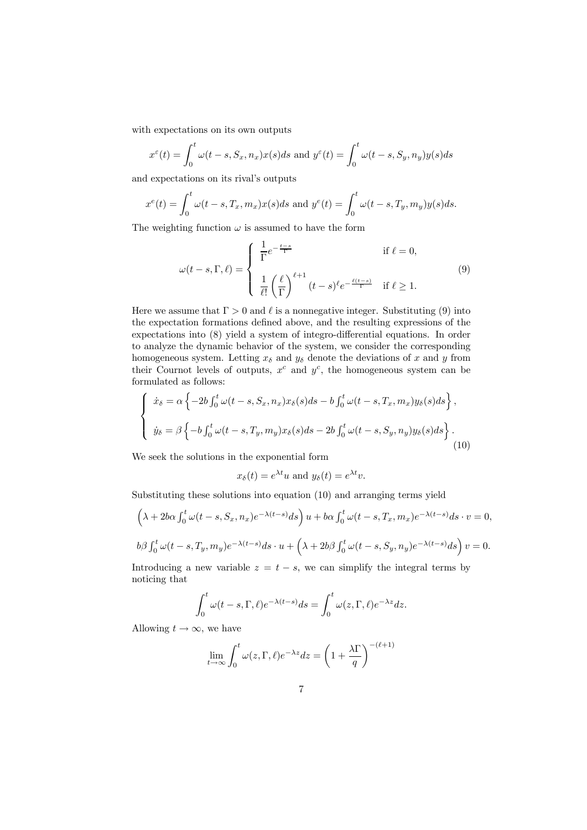with expectations on its own outputs

$$
x^{\varepsilon}(t) = \int_0^t \omega(t - s, S_x, n_x) x(s) ds \text{ and } y^{\varepsilon}(t) = \int_0^t \omega(t - s, S_y, n_y) y(s) ds
$$

and expectations on its rival's outputs

$$
x^{e}(t) = \int_0^t \omega(t - s, T_x, m_x)x(s)ds
$$
 and 
$$
y^{e}(t) = \int_0^t \omega(t - s, T_y, m_y)y(s)ds.
$$

The weighting function  $\omega$  is assumed to have the form

$$
\omega(t-s,\Gamma,\ell) = \begin{cases} \frac{1}{\Gamma}e^{-\frac{t-s}{\Gamma}} & \text{if } \ell = 0, \\ \frac{1}{\ell!} \left(\frac{\ell}{\Gamma}\right)^{\ell+1} (t-s)^{\ell} e^{-\frac{\ell(t-s)}{\Gamma}} & \text{if } \ell \ge 1. \end{cases}
$$
(9)

Here we assume that  $\Gamma > 0$  and  $\ell$  is a nonnegative integer. Substituting (9) into the expectation formations defined above, and the resulting expressions of the expectations into (8) yield a system of integro-differential equations. In order to analyze the dynamic behavior of the system, we consider the corresponding homogeneous system. Letting  $x_{\delta}$  and  $y_{\delta}$  denote the deviations of x and y from their Cournot levels of outputs,  $x^c$  and  $y^c$ , the homogeneous system can be formulated as follows:

$$
\begin{cases}\n\dot{x}_{\delta} = \alpha \left\{-2b \int_0^t \omega(t-s, S_x, n_x) x_{\delta}(s) ds - b \int_0^t \omega(t-s, T_x, m_x) y_{\delta}(s) ds\right\}, \\
\dot{y}_{\delta} = \beta \left\{-b \int_0^t \omega(t-s, T_y, m_y) x_{\delta}(s) ds - 2b \int_0^t \omega(t-s, S_y, n_y) y_{\delta}(s) ds\right\}.\n\end{cases} \tag{10}
$$

We seek the solutions in the exponential form

 $x_\delta(t) = e^{\lambda t}u$  and  $y_\delta(t) = e^{\lambda t}v$ .

Substituting these solutions into equation (10) and arranging terms yield

$$
\left(\lambda + 2b\alpha \int_0^t \omega(t-s, S_x, n_x) e^{-\lambda(t-s)} ds\right) u + b\alpha \int_0^t \omega(t-s, T_x, m_x) e^{-\lambda(t-s)} ds \cdot v = 0,
$$
  

$$
b\beta \int_0^t \omega(t-s, T_y, m_y) e^{-\lambda(t-s)} ds \cdot u + \left(\lambda + 2b\beta \int_0^t \omega(t-s, S_y, n_y) e^{-\lambda(t-s)} ds\right) v = 0.
$$

Introducing a new variable  $z = t - s$ , we can simplify the integral terms by noticing that

$$
\int_0^t \omega(t-s,\Gamma,\ell)e^{-\lambda(t-s)}ds = \int_0^t \omega(z,\Gamma,\ell)e^{-\lambda z}dz.
$$

Allowing  $t \to \infty$ , we have

$$
\lim_{t \to \infty} \int_0^t \omega(z, \Gamma, \ell) e^{-\lambda z} dz = \left(1 + \frac{\lambda \Gamma}{q}\right)^{-(\ell+1)}
$$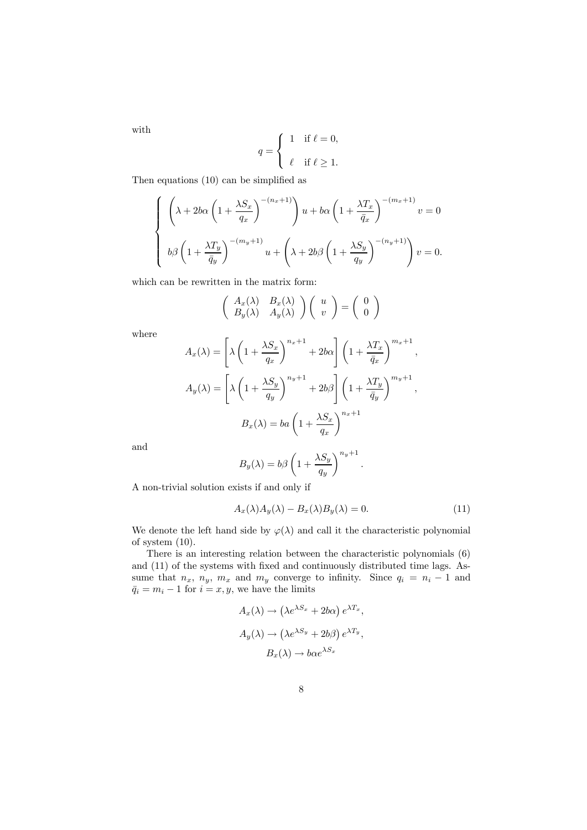with

$$
q = \begin{cases} 1 & \text{if } \ell = 0, \\ \ell & \text{if } \ell \ge 1. \end{cases}
$$

Then equations (10) can be simplified as

$$
\begin{cases}\n\left(\lambda + 2b\alpha \left(1 + \frac{\lambda S_x}{q_x}\right)^{-(n_x+1)}\right)u + b\alpha \left(1 + \frac{\lambda T_x}{\bar{q}_x}\right)^{-(m_x+1)}v = 0 \\
b\beta \left(1 + \frac{\lambda T_y}{\bar{q}_y}\right)^{-(m_y+1)}u + \left(\lambda + 2b\beta \left(1 + \frac{\lambda S_y}{q_y}\right)^{-(n_y+1)}\right)v = 0.\n\end{cases}
$$

which can be rewritten in the matrix form:

$$
\left(\begin{array}{cc} A_x(\lambda) & B_x(\lambda) \\ B_y(\lambda) & A_y(\lambda) \end{array}\right) \left(\begin{array}{c} u \\ v \end{array}\right) = \left(\begin{array}{c} 0 \\ 0 \end{array}\right)
$$

where

$$
A_x(\lambda) = \left[\lambda \left(1 + \frac{\lambda S_x}{q_x}\right)^{n_x + 1} + 2b\alpha\right] \left(1 + \frac{\lambda T_x}{\bar{q}_x}\right)^{m_x + 1},
$$
  

$$
A_y(\lambda) = \left[\lambda \left(1 + \frac{\lambda S_y}{q_y}\right)^{n_y + 1} + 2b\beta\right] \left(1 + \frac{\lambda T_y}{\bar{q}_y}\right)^{m_y + 1},
$$
  

$$
B_x(\lambda) = ba\left(1 + \frac{\lambda S_x}{q_x}\right)^{n_x + 1}
$$

and

$$
B_y(\lambda) = b\beta \left( 1 + \frac{\lambda S_y}{q_y} \right)^{n_y + 1}.
$$

A non-trivial solution exists if and only if

$$
A_x(\lambda)A_y(\lambda) - B_x(\lambda)B_y(\lambda) = 0.
$$
\n(11)

We denote the left hand side by  $\varphi(\lambda)$  and call it the characteristic polynomial of system (10).

There is an interesting relation between the characteristic polynomials (6) and (11) of the systems with fixed and continuously distributed time lags. Assume that  $n_x$ ,  $n_y$ ,  $m_x$  and  $m_y$  converge to infinity. Since  $q_i = n_i - 1$  and  $\bar{q}_i = m_i - 1$  for  $i = x, y$ , we have the limits

$$
A_x(\lambda) \to (\lambda e^{\lambda S_x} + 2b\alpha) e^{\lambda T_x},
$$
  
\n
$$
A_y(\lambda) \to (\lambda e^{\lambda S_y} + 2b\beta) e^{\lambda T_y},
$$
  
\n
$$
B_x(\lambda) \to b\alpha e^{\lambda S_x}
$$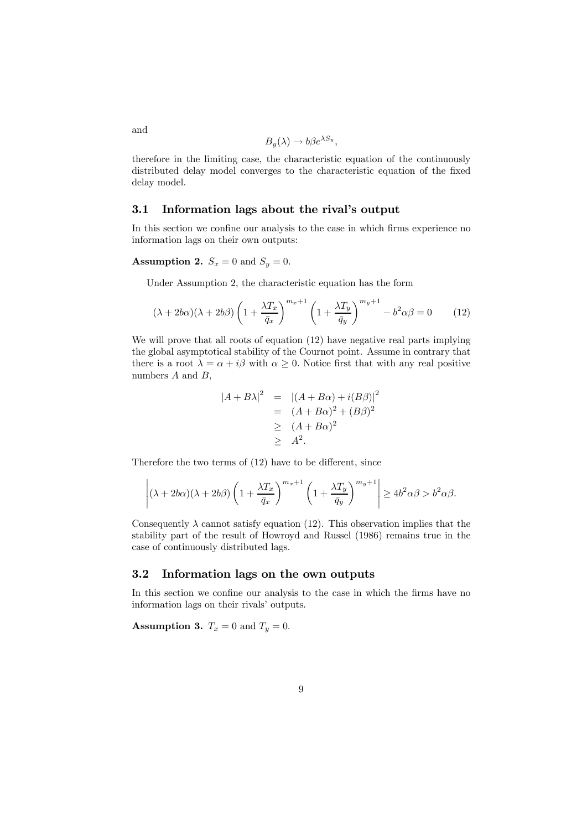$$
B_y(\lambda) \to b\beta e^{\lambda S_y},
$$

therefore in the limiting case, the characteristic equation of the continuously distributed delay model converges to the characteristic equation of the fixed delay model.

#### 3.1 Information lags about the rival's output

In this section we confine our analysis to the case in which firms experience no information lags on their own outputs:

**Assumption 2.**  $S_x = 0$  and  $S_y = 0$ .

Under Assumption 2, the characteristic equation has the form

$$
(\lambda + 2b\alpha)(\lambda + 2b\beta)\left(1 + \frac{\lambda T_x}{\bar{q}_x}\right)^{m_x + 1}\left(1 + \frac{\lambda T_y}{\bar{q}_y}\right)^{m_y + 1} - b^2\alpha\beta = 0 \tag{12}
$$

We will prove that all roots of equation  $(12)$  have negative real parts implying the global asymptotical stability of the Cournot point. Assume in contrary that there is a root  $\lambda = \alpha + i\beta$  with  $\alpha \geq 0$ . Notice first that with any real positive numbers  $A$  and  $B$ ,

$$
|A + B\lambda|^2 = |(A + B\alpha) + i(B\beta)|^2
$$
  
=  $(A + B\alpha)^2 + (B\beta)^2$   
 $\geq (A + B\alpha)^2$   
 $\geq A^2$ .

Therefore the two terms of (12) have to be different, since

$$
\left|(\lambda+2b\alpha)(\lambda+2b\beta)\left(1+\frac{\lambda T_x}{\bar q_x}\right)^{m_x+1}\left(1+\frac{\lambda T_y}{\bar q_y}\right)^{m_y+1}\right|\geq 4b^2\alpha\beta>b^2\alpha\beta.
$$

Consequently  $\lambda$  cannot satisfy equation (12). This observation implies that the stability part of the result of Howroyd and Russel (1986) remains true in the case of continuously distributed lags.

#### 3.2 Information lags on the own outputs

In this section we confine our analysis to the case in which the firms have no information lags on their rivals' outputs.

**Assumption 3.**  $T_x = 0$  and  $T_y = 0$ .

and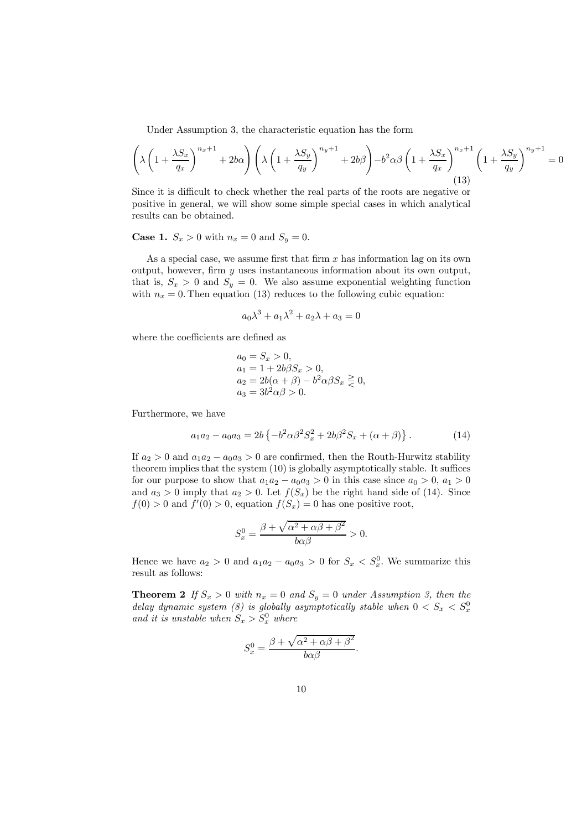Under Assumption 3, the characteristic equation has the form

$$
\left(\lambda \left(1 + \frac{\lambda S_x}{q_x}\right)^{n_x + 1} + 2b\alpha\right) \left(\lambda \left(1 + \frac{\lambda S_y}{q_y}\right)^{n_y + 1} + 2b\beta\right) - b^2 \alpha \beta \left(1 + \frac{\lambda S_x}{q_x}\right)^{n_x + 1} \left(1 + \frac{\lambda S_y}{q_y}\right)^{n_y + 1} = 0
$$
\n(13)

Since it is difficult to check whether the real parts of the roots are negative or positive in general, we will show some simple special cases in which analytical results can be obtained.

**Case 1.**  $S_x > 0$  with  $n_x = 0$  and  $S_y = 0$ .

As a special case, we assume first that firm  $x$  has information lag on its own output, however, firm  $y$  uses instantaneous information about its own output, that is,  $S_x > 0$  and  $S_y = 0$ . We also assume exponential weighting function with  $n_x = 0$ . Then equation (13) reduces to the following cubic equation:

$$
a_0\lambda^3 + a_1\lambda^2 + a_2\lambda + a_3 = 0
$$

where the coefficients are defined as

$$
a_0 = S_x > 0,
$$
  
\n
$$
a_1 = 1 + 2b\beta S_x > 0,
$$
  
\n
$$
a_2 = 2b(\alpha + \beta) - b^2 \alpha \beta S_x \ge 0,
$$
  
\n
$$
a_3 = 3b^2 \alpha \beta > 0.
$$

Furthermore, we have

$$
a_1 a_2 - a_0 a_3 = 2b \left\{ -b^2 \alpha \beta^2 S_x^2 + 2b \beta^2 S_x + (\alpha + \beta) \right\}.
$$
 (14)

If  $a_2 > 0$  and  $a_1 a_2 - a_0 a_3 > 0$  are confirmed, then the Routh-Hurwitz stability theorem implies that the system (10) is globally asymptotically stable. It suffices for our purpose to show that  $a_1a_2 - a_0a_3 > 0$  in this case since  $a_0 > 0$ ,  $a_1 > 0$ and  $a_3 > 0$  imply that  $a_2 > 0$ . Let  $f(S_x)$  be the right hand side of (14). Since  $f(0) > 0$  and  $f'(0) > 0$ , equation  $f(S_x) = 0$  has one positive root,

$$
S_x^0 = \frac{\beta + \sqrt{\alpha^2 + \alpha \beta + \beta^2}}{b\alpha\beta} > 0.
$$

Hence we have  $a_2 > 0$  and  $a_1 a_2 - a_0 a_3 > 0$  for  $S_x < S_x^0$ . We summarize this result as follows:

**Theorem 2** If  $S_x > 0$  with  $n_x = 0$  and  $S_y = 0$  under Assumption 3, then the delay dynamic system (8) is globally asymptotically stable when  $0 < S_x < S_x^0$ and it is unstable when  $S_x > S_x^0$  where

$$
S_x^0 = \frac{\beta + \sqrt{\alpha^2 + \alpha\beta + \beta^2}}{b\alpha\beta}.
$$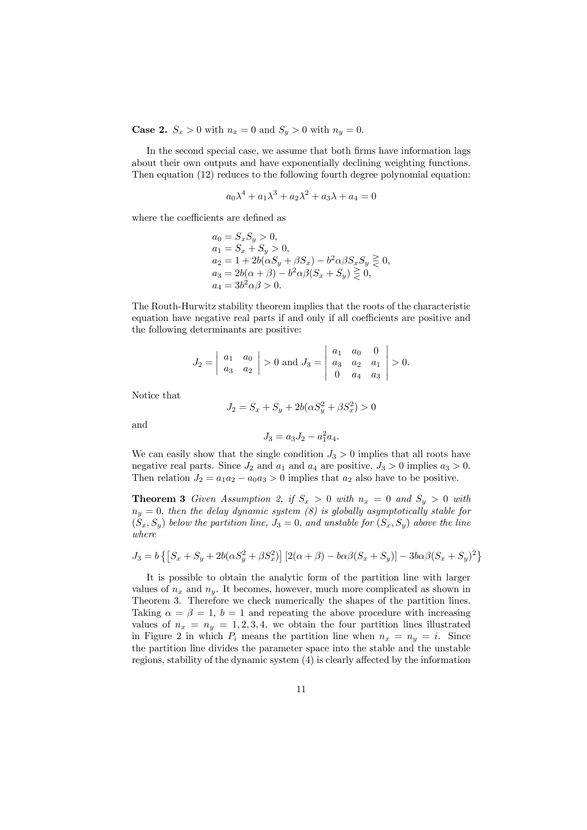**Case 2.**  $S_x > 0$  with  $n_x = 0$  and  $S_y > 0$  with  $n_y = 0$ .

In the second special case, we assume that both firms have information lags about their own outputs and have exponentially declining weighting functions. Then equation (12) reduces to the following fourth degree polynomial equation:

$$
a_0 \lambda^4 + a_1 \lambda^3 + a_2 \lambda^2 + a_3 \lambda + a_4 = 0
$$

where the coefficients are defined as

$$
a_0 = S_x S_y > 0,\n a_1 = S_x + S_y > 0,\n a_2 = 1 + 2b(\alpha S_y + \beta S_x) - b^2 \alpha \beta S_x S_y \ge 0,\n a_3 = 2b(\alpha + \beta) - b^2 \alpha \beta (S_x + S_y) \ge 0,\n a_4 = 3b^2 \alpha \beta > 0.
$$

The Routh-Hurwitz stability theorem implies that the roots of the characteristic equation have negative real parts if and only if all coefficients are positive and the following determinants are positive:

$$
J_2 = \begin{vmatrix} a_1 & a_0 \\ a_3 & a_2 \end{vmatrix} > 0 \text{ and } J_3 = \begin{vmatrix} a_1 & a_0 & 0 \\ a_3 & a_2 & a_1 \\ 0 & a_4 & a_3 \end{vmatrix} > 0.
$$

Notice that

$$
J_2 = S_x + S_y + 2b(\alpha S_y^2 + \beta S_x^2) > 0
$$

and

$$
J_3 = a_3 J_2 - a_1^2 a_4.
$$

We can easily show that the single condition  $J_3 > 0$  implies that all roots have negative real parts. Since  $J_2$  and  $a_1$  and  $a_4$  are positive,  $J_3 > 0$  implies  $a_3 > 0$ . Then relation  $J_2 = a_1 a_2 - a_0 a_3 > 0$  implies that  $a_2$  also have to be positive.

**Theorem 3** Given Assumption 2, if  $S_x > 0$  with  $n_x = 0$  and  $S_y > 0$  with  $n_y = 0$ , then the delay dynamic system (8) is globally asymptotically stable for  $(S_x, S_y)$  below the partition line,  $J_3 = 0$ , and unstable for  $(S_x, S_y)$  above the line where

$$
J_3 = b \{ [S_x + S_y + 2b(\alpha S_y^2 + \beta S_x^2)] [2(\alpha + \beta) - b\alpha\beta(S_x + S_y)] - 3b\alpha\beta(S_x + S_y)^2 \}
$$

It is possible to obtain the analytic form of the partition line with larger values of  $n_x$  and  $n_y$ . It becomes, however, much more complicated as shown in Theorem 3. Therefore we check numerically the shapes of the partition lines. Taking  $\alpha = \beta = 1$ ,  $b = 1$  and repeating the above procedure with increasing values of  $n_x = n_y = 1, 2, 3, 4$ , we obtain the four partition lines illustrated in Figure 2 in which  $P_i$  means the partition line when  $n_x = n_y = i$ . Since the partition line divides the parameter space into the stable and the unstable regions, stability of the dynamic system (4) is clearly affected by the information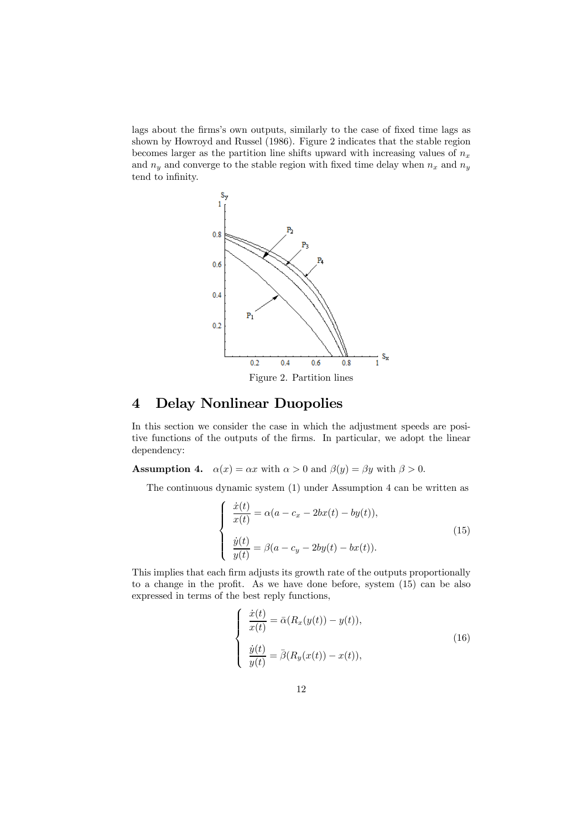lags about the firms's own outputs, similarly to the case of fixed time lags as shown by Howroyd and Russel (1986). Figure 2 indicates that the stable region becomes larger as the partition line shifts upward with increasing values of  $n_x$ and  $n_y$  and converge to the stable region with fixed time delay when  $n_x$  and  $n_y$ tend to infinity.



## 4 Delay Nonlinear Duopolies

In this section we consider the case in which the adjustment speeds are positive functions of the outputs of the firms. In particular, we adopt the linear dependency:

**Assumption 4.**  $\alpha(x) = \alpha x$  with  $\alpha > 0$  and  $\beta(y) = \beta y$  with  $\beta > 0$ .

The continuous dynamic system (1) under Assumption 4 can be written as

$$
\begin{cases}\n\frac{\dot{x}(t)}{x(t)} = \alpha(a - c_x - 2bx(t) - by(t)),\\ \n\frac{\dot{y}(t)}{y(t)} = \beta(a - c_y - 2by(t) - bx(t)).\n\end{cases}
$$
\n(15)

This implies that each firm adjusts its growth rate of the outputs proportionally to a change in the profit. As we have done before, system (15) can be also expressed in terms of the best reply functions,

$$
\begin{cases}\n\frac{\dot{x}(t)}{x(t)} = \bar{\alpha}(R_x(y(t)) - y(t)),\\ \n\frac{\dot{y}(t)}{y(t)} = \bar{\beta}(R_y(x(t)) - x(t)),\n\end{cases}
$$
\n(16)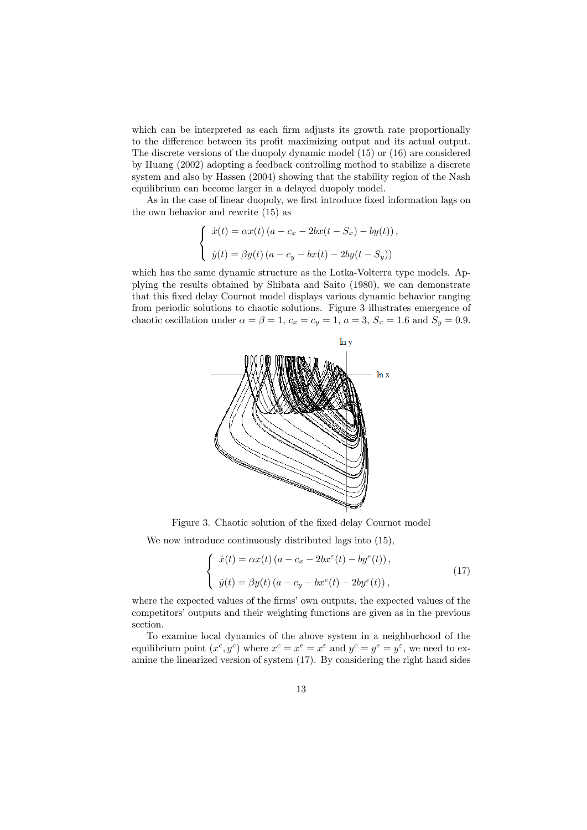which can be interpreted as each firm adjusts its growth rate proportionally to the difference between its profit maximizing output and its actual output. The discrete versions of the duopoly dynamic model (15) or (16) are considered by Huang (2002) adopting a feedback controlling method to stabilize a discrete system and also by Hassen (2004) showing that the stability region of the Nash equilibrium can become larger in a delayed duopoly model.

As in the case of linear duopoly, we first introduce fixed information lags on the own behavior and rewrite (15) as

$$
\begin{cases}\n\dot{x}(t) = \alpha x(t) (a - c_x - 2bx(t - S_x) - by(t)), \\
\dot{y}(t) = \beta y(t) (a - c_y - bx(t) - 2by(t - S_y))\n\end{cases}
$$

which has the same dynamic structure as the Lotka-Volterra type models. Applying the results obtained by Shibata and Saito (1980), we can demonstrate that this fixed delay Cournot model displays various dynamic behavior ranging from periodic solutions to chaotic solutions. Figure 3 illustrates emergence of chaotic oscillation under  $\alpha = \beta = 1$ ,  $c_x = c_y = 1$ ,  $a = 3$ ,  $S_x = 1.6$  and  $S_y = 0.9$ .



Figure 3. Chaotic solution of the fixed delay Cournot model

We now introduce continuously distributed lags into  $(15)$ ,

$$
\begin{cases}\n\dot{x}(t) = \alpha x(t) \left( a - c_x - 2bx^{\varepsilon}(t) - by^{\varepsilon}(t) \right), \\
\dot{y}(t) = \beta y(t) \left( a - c_y - bx^{\varepsilon}(t) - 2by^{\varepsilon}(t) \right),\n\end{cases} \tag{17}
$$

where the expected values of the firms' own outputs, the expected values of the competitors' outputs and their weighting functions are given as in the previous section.

To examine local dynamics of the above system in a neighborhood of the equilibrium point  $(x^c, y^c)$  where  $x^c = x^e = x^e$  and  $y^c = y^e = y^e$ , we need to examine the linearized version of system (17). By considering the right hand sides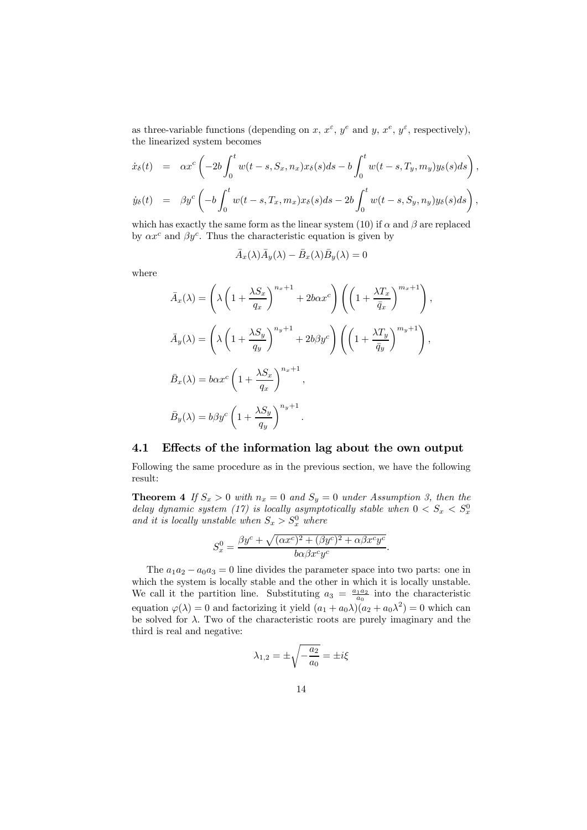as three-variable functions (depending on x,  $x^{\varepsilon}$ ,  $y^{\varepsilon}$  and y,  $x^{\varepsilon}$ ,  $y^{\varepsilon}$ , respectively), the linearized system becomes

$$
\dot{x}_{\delta}(t) = \alpha x^{c} \left(-2b \int_{0}^{t} w(t-s, S_{x}, n_{x}) x_{\delta}(s) ds - b \int_{0}^{t} w(t-s, T_{y}, m_{y}) y_{\delta}(s) ds\right),
$$

$$
\dot{y}_{\delta}(t) = \beta y^{c} \left( -b \int_{0}^{t} w(t-s, T_{x}, m_{x}) x_{\delta}(s) ds - 2b \int_{0}^{t} w(t-s, S_{y}, n_{y}) y_{\delta}(s) ds \right),
$$

which has exactly the same form as the linear system (10) if  $\alpha$  and  $\beta$  are replaced by  $\alpha x^c$  and  $\beta y^c$ . Thus the characteristic equation is given by

$$
\bar{A}_x(\lambda)\bar{A}_y(\lambda) - \bar{B}_x(\lambda)\bar{B}_y(\lambda) = 0
$$

where

$$
\bar{A}_x(\lambda) = \left(\lambda \left(1 + \frac{\lambda S_x}{q_x}\right)^{n_x + 1} + 2b\alpha x^c\right) \left(\left(1 + \frac{\lambda T_x}{\bar{q}_x}\right)^{m_x + 1}\right),
$$
\n
$$
\bar{A}_y(\lambda) = \left(\lambda \left(1 + \frac{\lambda S_y}{q_y}\right)^{n_y + 1} + 2b\beta y^c\right) \left(\left(1 + \frac{\lambda T_y}{\bar{q}_y}\right)^{m_y + 1}\right),
$$
\n
$$
\bar{B}_x(\lambda) = b\alpha x^c \left(1 + \frac{\lambda S_x}{q_x}\right)^{n_x + 1},
$$
\n
$$
\bar{B}_y(\lambda) = b\beta y^c \left(1 + \frac{\lambda S_y}{q_y}\right)^{n_y + 1}.
$$

#### 4.1 Effects of the information lag about the own output

Following the same procedure as in the previous section, we have the following result:

**Theorem 4** If  $S_x > 0$  with  $n_x = 0$  and  $S_y = 0$  under Assumption 3, then the delay dynamic system (17) is locally asymptotically stable when  $0 < S_x < S_x^0$ and it is locally unstable when  $S_x > S_x^0$  where

$$
S_x^0 = \frac{\beta y^c + \sqrt{(\alpha x^c)^2 + (\beta y^c)^2 + \alpha \beta x^c y^c}}{b \alpha \beta x^c y^c}.
$$

The  $a_1a_2 - a_0a_3 = 0$  line divides the parameter space into two parts: one in which the system is locally stable and the other in which it is locally unstable. We call it the partition line. Substituting  $a_3 = \frac{a_1 a_2}{a_0}$  into the characteristic equation  $\varphi(\lambda) = 0$  and factorizing it yield  $(a_1 + a_0\lambda)(a_2 + a_0\lambda^2) = 0$  which can be solved for  $\lambda$ . Two of the characteristic roots are purely imaginary and the third is real and negative:

$$
\lambda_{1,2} = \pm \sqrt{-\frac{a_2}{a_0}} = \pm i\xi
$$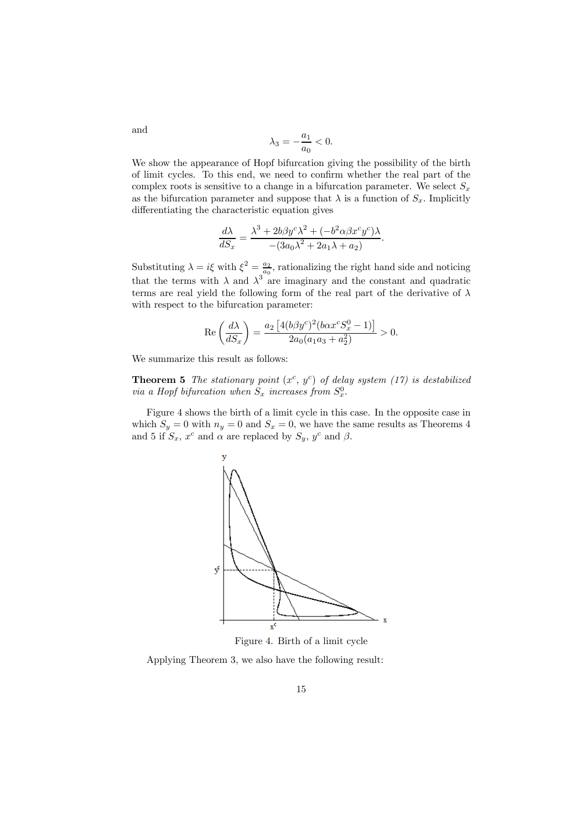$$
\lambda_3 = -\frac{a_1}{a_0} < 0.
$$

We show the appearance of Hopf bifurcation giving the possibility of the birth of limit cycles. To this end, we need to confirm whether the real part of the complex roots is sensitive to a change in a bifurcation parameter. We select  $S_x$ as the bifurcation parameter and suppose that  $\lambda$  is a function of  $S_x$ . Implicitly differentiating the characteristic equation gives

$$
\frac{d\lambda}{dS_x} = \frac{\lambda^3 + 2b\beta y^c \lambda^2 + (-b^2 \alpha \beta x^c y^c)\lambda}{-(3a_0 \lambda^2 + 2a_1 \lambda + a_2)}.
$$

Substituting  $\lambda = i\xi$  with  $\xi^2 = \frac{a_2}{a_0}$ , rationalizing the right hand side and noticing that the terms with  $\lambda$  and  $\lambda^3$  are imaginary and the constant and quadratic terms are real yield the following form of the real part of the derivative of  $\lambda$ with respect to the bifurcation parameter:

$$
\operatorname{Re}\left(\frac{d\lambda}{dS_x}\right) = \frac{a_2 \left[4(b\beta y^c)^2 (b\alpha x^c S_x^0 - 1)\right]}{2a_0(a_1 a_3 + a_2^2)} > 0.
$$

We summarize this result as follows:

**Theorem 5** The stationary point  $(x^c, y^c)$  of delay system (17) is destabilized via a Hopf bifurcation when  $S_x$  increases from  $S_x^0$ .

Figure 4 shows the birth of a limit cycle in this case. In the opposite case in which  $S_y = 0$  with  $n_y = 0$  and  $S_x = 0$ , we have the same results as Theorems 4 and 5 if  $S_x$ ,  $x^c$  and  $\alpha$  are replaced by  $S_y$ ,  $y^c$  and  $\beta$ .



Figure 4. Birth of a limit cycle

Applying Theorem 3, we also have the following result:

and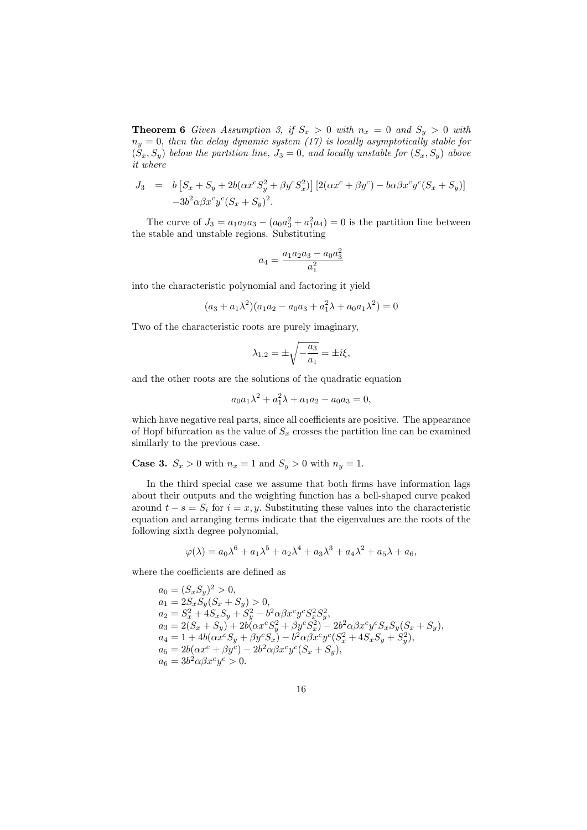**Theorem 6** Given Assumption 3, if  $S_x > 0$  with  $n_x = 0$  and  $S_y > 0$  with  $n_y = 0$ , then the delay dynamic system (17) is locally asymptotically stable for  $(S_x, S_y)$  below the partition line,  $J_3 = 0$ , and locally unstable for  $(S_x, S_y)$  above it where

$$
J_3 = b [S_x + S_y + 2b(\alpha x^c S_y^2 + \beta y^c S_x^2)] [2(\alpha x^c + \beta y^c) - b\alpha \beta x^c y^c (S_x + S_y)]
$$
  

$$
-3b^2 \alpha \beta x^c y^c (S_x + S_y)^2.
$$

The curve of  $J_3 = a_1 a_2 a_3 - (a_0 a_3^2 + a_1^2 a_4) = 0$  is the partition line between the stable and unstable regions. Substituting

$$
a_4 = \frac{a_1 a_2 a_3 - a_0 a_3^2}{a_1^2}
$$

into the characteristic polynomial and factoring it yield

$$
(a_3 + a_1\lambda^2)(a_1a_2 - a_0a_3 + a_1^2\lambda + a_0a_1\lambda^2) = 0
$$

Two of the characteristic roots are purely imaginary,

$$
\lambda_{1,2} = \pm \sqrt{-\frac{a_3}{a_1}} = \pm i\xi,
$$

and the other roots are the solutions of the quadratic equation

$$
a_0a_1\lambda^2 + a_1^2\lambda + a_1a_2 - a_0a_3 = 0,
$$

which have negative real parts, since all coefficients are positive. The appearance of Hopf bifurcation as the value of  $S_x$  crosses the partition line can be examined similarly to the previous case.

**Case 3.**  $S_x > 0$  with  $n_x = 1$  and  $S_y > 0$  with  $n_y = 1$ .

In the third special case we assume that both firms have information lags about their outputs and the weighting function has a bell-shaped curve peaked around  $t - s = S_i$  for  $i = x, y$ . Substituting these values into the characteristic equation and arranging terms indicate that the eigenvalues are the roots of the following sixth degree polynomial,

$$
\varphi(\lambda) = a_0 \lambda^6 + a_1 \lambda^5 + a_2 \lambda^4 + a_3 \lambda^3 + a_4 \lambda^2 + a_5 \lambda + a_6,
$$

where the coefficients are defined as

$$
a_0 = (S_x S_y)^2 > 0,
$$
  
\n
$$
a_1 = 2S_x S_y (S_x + S_y) > 0,
$$
  
\n
$$
a_2 = S_x^2 + 4S_x S_y + S_y^2 - b^2 \alpha \beta x^c y^c S_x^2 S_y^2,
$$
  
\n
$$
a_3 = 2(S_x + S_y) + 2b(\alpha x^c S_y^2 + \beta y^c S_x^2) - 2b^2 \alpha \beta x^c y^c S_x S_y (S_x + S_y),
$$
  
\n
$$
a_4 = 1 + 4b(\alpha x^c S_y + \beta y^c S_x) - b^2 \alpha \beta x^c y^c (S_x^2 + 4S_x S_y + S_y^2),
$$
  
\n
$$
a_5 = 2b(\alpha x^c + \beta y^c) - 2b^2 \alpha \beta x^c y^c (S_x + S_y),
$$
  
\n
$$
a_6 = 3b^2 \alpha \beta x^c y^c > 0.
$$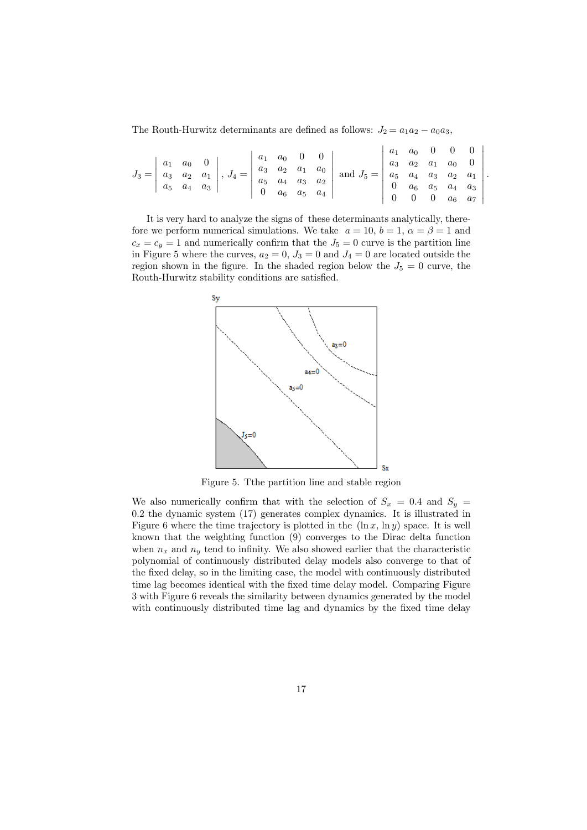The Routh-Hurwitz determinants are defined as follows:  $J_2 = a_1 a_2 - a_0 a_3$ ,

|  |  |  |  |  |  | $J_1 = \begin{bmatrix} a_1 & a_0 & 0 \\ a_3 & a_2 & a_1 \\ a_5 & a_4 & a_3 \end{bmatrix}, J_4 = \begin{bmatrix} a_1 & a_0 & 0 & 0 \\ a_3 & a_2 & a_1 & a_0 \\ a_5 & a_4 & a_3 & a_2 \\ 0 & a_6 & a_5 & a_4 \end{bmatrix}$ and $J_5 = \begin{bmatrix} 1 & 1 & 1 & 1 \\ a_3 & a_2 & a_1 & a_0 & 0 \\ a_5 & a_4 & a_3 & a_2 & a_1 \\ 0 & a_6 & a_5 & a_4 & a_3 \\ 0 & 0 & $ |  |  |  |
|--|--|--|--|--|--|--------------------------------------------------------------------------------------------------------------------------------------------------------------------------------------------------------------------------------------------------------------------------------------------------------------------------------------------------------------------------|--|--|--|
|  |  |  |  |  |  |                                                                                                                                                                                                                                                                                                                                                                          |  |  |  |
|  |  |  |  |  |  |                                                                                                                                                                                                                                                                                                                                                                          |  |  |  |
|  |  |  |  |  |  |                                                                                                                                                                                                                                                                                                                                                                          |  |  |  |

.

It is very hard to analyze the signs of these determinants analytically, therefore we perform numerical simulations. We take  $a = 10$ ,  $b = 1$ ,  $\alpha = \beta = 1$  and  $c_x = c_y = 1$  and numerically confirm that the  $J_5 = 0$  curve is the partition line in Figure 5 where the curves,  $a_2 = 0$ ,  $J_3 = 0$  and  $J_4 = 0$  are located outside the region shown in the figure. In the shaded region below the  $J_5 = 0$  curve, the Routh-Hurwitz stability conditions are satisfied.



Figure 5. Tthe partition line and stable region

We also numerically confirm that with the selection of  $S_x = 0.4$  and  $S_y =$ 0.2 the dynamic system (17) generates complex dynamics. It is illustrated in Figure 6 where the time trajectory is plotted in the  $(\ln x, \ln y)$  space. It is well known that the weighting function (9) converges to the Dirac delta function when  $n_x$  and  $n_y$  tend to infinity. We also showed earlier that the characteristic polynomial of continuously distributed delay models also converge to that of the fixed delay, so in the limiting case, the model with continuously distributed time lag becomes identical with the fixed time delay model. Comparing Figure 3 with Figure 6 reveals the similarity between dynamics generated by the model with continuously distributed time lag and dynamics by the fixed time delay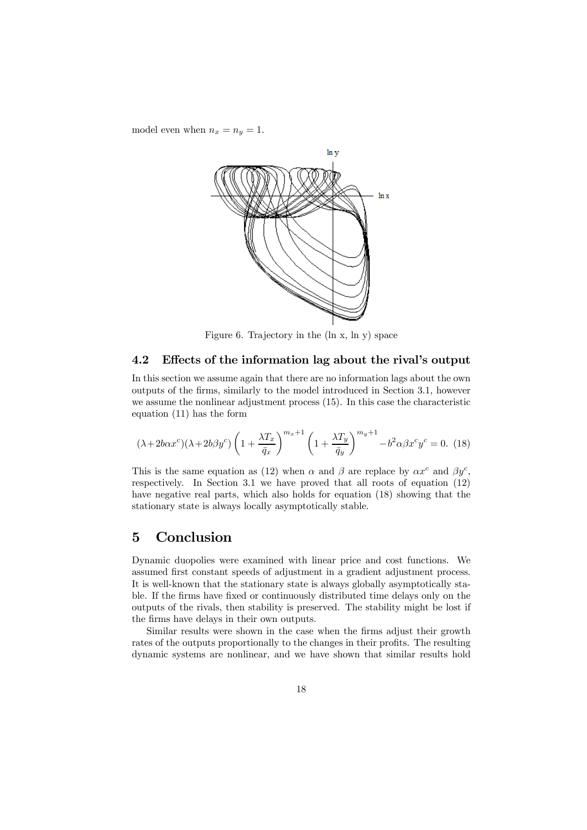model even when  $n_x = n_y = 1$ .



Figure 6. Trajectory in the (ln x, ln y) space

#### 4.2 Effects of the information lag about the rival's output

In this section we assume again that there are no information lags about the own outputs of the firms, similarly to the model introduced in Section 3.1, however we assume the nonlinear adjustment process (15). In this case the characteristic equation (11) has the form

$$
(\lambda + 2b\alpha x^c)(\lambda + 2b\beta y^c) \left(1 + \frac{\lambda T_x}{\bar{q}_x}\right)^{m_x + 1} \left(1 + \frac{\lambda T_y}{\bar{q}_y}\right)^{m_y + 1} - b^2 \alpha \beta x^c y^c = 0.
$$
 (18)

This is the same equation as (12) when  $\alpha$  and  $\beta$  are replace by  $\alpha x^c$  and  $\beta y^c$ , respectively. In Section 3.1 we have proved that all roots of equation (12) have negative real parts, which also holds for equation (18) showing that the stationary state is always locally asymptotically stable.

## 5 Conclusion

Dynamic duopolies were examined with linear price and cost functions. We assumed first constant speeds of adjustment in a gradient adjustment process. It is well-known that the stationary state is always globally asymptotically stable. If the firms have fixed or continuously distributed time delays only on the outputs of the rivals, then stability is preserved. The stability might be lost if the firms have delays in their own outputs.

Similar results were shown in the case when the firms adjust their growth rates of the outputs proportionally to the changes in their profits. The resulting dynamic systems are nonlinear, and we have shown that similar results hold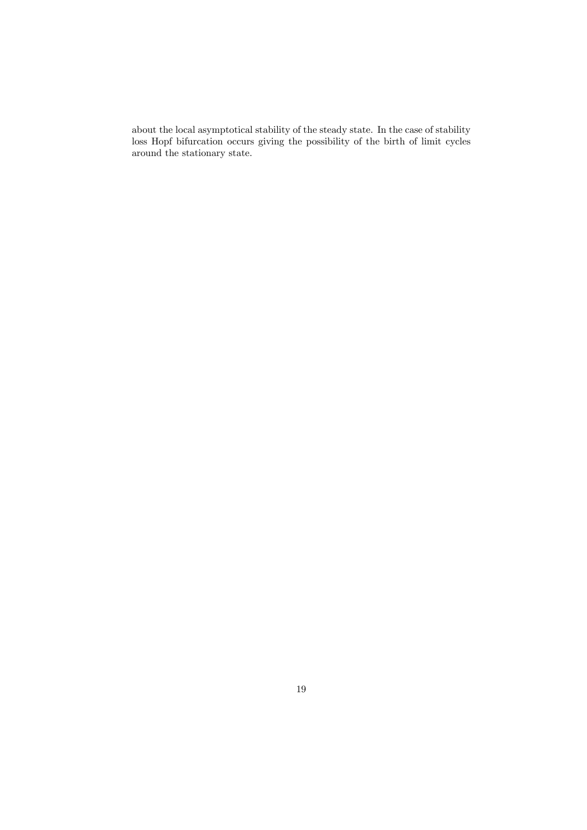about the local asymptotical stability of the steady state. In the case of stability loss Hopf bifurcation occurs giving the possibility of the birth of limit cycles around the stationary state.